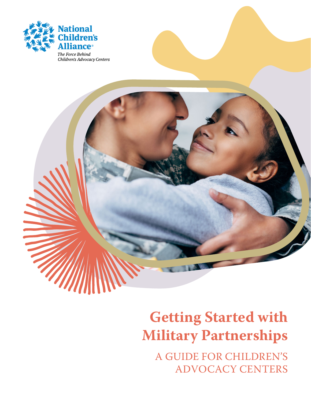



# **Getting Started with Military Partnerships**

A GUIDE FOR CHILDREN'S ADVOCACY CENTERS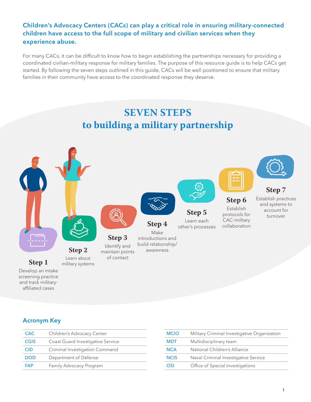### Children's Advocacy Centers (CACs) can play a critical role in ensuring military-connected children have access to the full scope of military and civilian services when they experience abuse.

For many CACs, it can be difficult to know how to begin establishing the partnerships necessary for providing a coordinated civilian-military response for military families. The purpose of this resource guide is to help CACs get started. By following the seven steps outlined in this guide, CACs will be well positioned to ensure that military families in their community have access to the coordinated response they deserve.



screening practice and track militaryaffiliated cases

Acronym Key

| <b>CAC</b>  |                                   |
|-------------|-----------------------------------|
|             | Children's Advocacy Center        |
| <b>CGIS</b> | Coast Guard Investigative Service |
| <b>CID</b>  | Criminal Investigation Command    |
| <b>DOD</b>  | Department of Defense             |
| <b>FAP</b>  | Family Advocacy Program           |

| <b>MCIO</b> | Military Criminal Investigative Organization |
|-------------|----------------------------------------------|
| <b>MDT</b>  | Multidisciplinary team                       |
| <b>NCA</b>  | National Children's Alliance                 |
| <b>NCIS</b> | Naval Criminal Investigative Service         |
| OSI         | Office of Special Investigations             |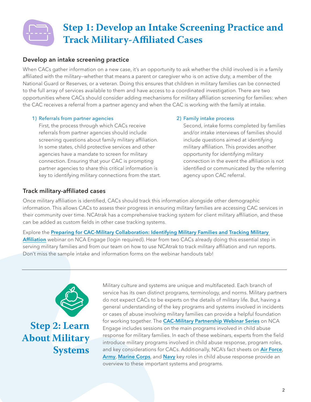## **Step 1: Develop an Intake Screening Practice and Track Military-Affiliated Cases**

### Develop an intake screening practice

When CACs gather information on a new case, it's an opportunity to ask whether the child involved is in a family affiliated with the military—whether that means a parent or caregiver who is on active duty, a member of the National Guard or Reserves, or a veteran. Doing this ensures that children in military families can be connected to the full array of services available to them and have access to a coordinated investigation. There are two opportunities where CACs should consider adding mechanisms for military affiliation screening for families: when the CAC receives a referral from a partner agency and when the CAC is working with the family at intake.

#### 1) Referrals from partner agencies

First, the process through which CACs receive referrals from partner agencies should include screening questions about family military affiliation. In some states, child protective services and other agencies have a mandate to screen for military connection. Ensuring that your CAC is prompting partner agencies to share this critical information is key to identifying military connections from the start.

#### 2) Family intake process

Second, intake forms completed by families and/or intake interviews of families should include questions aimed at identifying military affiliation. This provides another opportunity for identifying military connection in the event the affiliation is not identified or communicated by the referring agency upon CAC referral.

#### Track military-affiliated cases

Once military affiliation is identified, CACs should track this information alongside other demographic information. This allows CACs to assess their progress in ensuring military families are accessing CAC services in their community over time. NCAtrak has a comprehensive tracking system for client military affiliation, and these can be added as custom fields in other case tracking systems.

Explore the [Preparing for CAC-Military Collaboration: Identifying Military Families and Tracking Military](https://learn.nationalchildrensalliance.org/products/preparing-for-cac-military-collaboration-identifying-military-families-and-tracking-military-affiliation)  [Affiliation](https://learn.nationalchildrensalliance.org/products/preparing-for-cac-military-collaboration-identifying-military-families-and-tracking-military-affiliation) webinar on NCA Engage (login required). Hear from two CACs already doing this essential step in serving military families and from our team on how to use NCAtrak to track military affiliation and run reports. Don't miss the sample intake and information forms on the webinar handouts tab!



**Step 2: Learn About Military Systems** Military culture and systems are unique and multifaceted. Each branch of service has its own distinct programs, terminology, and norms. Military partners do not expect CACs to be experts on the details of military life. But, having a general understanding of the key programs and systems involved in incidents or cases of abuse involving military families can provide a helpful foundation for working together. The [CAC-Military Partnership Webinar Series](https://learn.nationalchildrensalliance.org/military) on NCA Engage includes sessions on the main programs involved in child abuse response for military families. In each of these webinars, experts from the field introduce military programs involved in child abuse response, program roles, and key considerations for CACs. Additionally, NCA's fact sheets on [Air Force](https://www.nationalchildrensalliance.org/wp-content/uploads/2020/07/NCA_AirForce_KeyRoles_July2020.pdf), [Army](https://www.nationalchildrensalliance.org/wp-content/uploads/2020/07/NCA_Army_KeyRoles_July2020.pdf), [Marine Corps](https://www.nationalchildrensalliance.org/wp-content/uploads/2020/07/NCA_MarineCorp_KeyRoles_July2020.pdf), and [Navy](https://www.nationalchildrensalliance.org/wp-content/uploads/2020/07/NCA_Navy_KeyRoles_July2020.pdf) key roles in child abuse response provide an overview to these important systems and programs.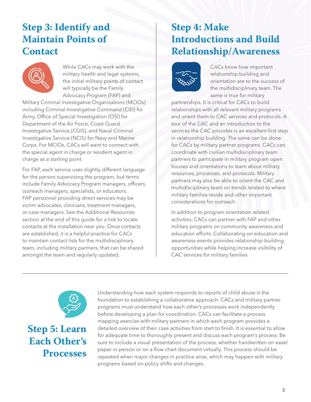### **Step 3: Identify and Maintain Points of Contact**



While CACs may work with the military health and legal systems, the initial military points of contact will typically be the Family Advocacy Program (FAP) and

Military Criminal Investigative Organizations (MCIOs) including Criminal Investigative Command (CID) for Army, Office of Special Investigation (OSI) for Department of the Air Force, Coast Guard Investigative Service (CGIS), and Naval Criminal Investigative Service (NCIS) for Navy and Marine Corps. For MCIOs, CACs will want to connect with the special agent in charge or resident agent in charge as a starting point.

For FAP, each service uses slightly different language for the person supervising the program, but terms include Family Advocacy Program managers, officers, outreach managers, specialists, or educators. FAP personnel providing direct services may be victim advocates, clinicians, treatment managers, or case managers. See the Additional Resources section at the end of this guide for a link to locate contacts at the installation near you. Once contacts are established, it is a helpful practice for CACs to maintain contact lists for the multidisciplinary team, including military partners, that can be shared amongst the team and regularly updated.

### **Step 4: Make Introductions and Build Relationship/Awareness**



CACs know how important relationship building and orientation are to the success of the multidisciplinary team. The same is true for military

partnerships. It is critical for CACs to build relationships with all relevant military programs and orient them to CAC services and protocols. A tour of the CAC and an introduction to the services the CAC provides is an excellent first step in relationship building. The same can be done for CACs by military partner programs. CACs can coordinate with civilian multidisciplinary team partners to participate in military program open houses and orientations to learn about military resources, processes, and protocols. Military partners may also be able to orient the CAC and multidisciplinary team on trends related to where military families reside and other important considerations for outreach.

In addition to program orientation related activities, CACs can partner with FAP and other military programs on community awareness and education efforts. Collaborating on education and awareness events provides relationship-building opportunities while helping increase visibility of CAC services for military families.



**Step 5: Learn Each Other's Processes**

Understanding how each system responds to reports of child abuse is the foundation to establishing a collaborative approach. CACs and military partner programs must understand how each other's processes work independently before developing a plan for coordination. CACs can facilitate a process mapping exercise with military partners in which each program provides a detailed overview of their case activities from start to finish. It is essential to allow for adequate time to thoroughly present and discuss each program's process. Be sure to include a visual presentation of the process, whether handwritten on easel paper in person or on a flow chart document virtually. This process should be repeated when major changes in practice arise, which may happen with military programs based on policy shifts and changes.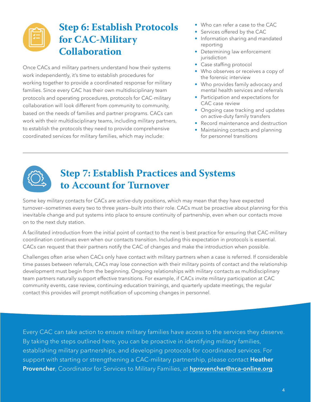### **Step 6: Establish Protocols for CAC-Military Collaboration**

Once CACs and military partners understand how their systems work independently, it's time to establish procedures for working together to provide a coordinated response for military families. Since every CAC has their own multidisciplinary team protocols and operating procedures, protocols for CAC-military collaboration will look different from community to community, based on the needs of families and partner programs. CACs can work with their multidisciplinary teams, including military partners, to establish the protocols they need to provide comprehensive coordinated services for military families, which may include:

- Who can refer a case to the CAC
- Services offered by the CAC
- Information sharing and mandated reporting
- Determining law enforcement jurisdiction
- Case staffing protocol
- Who observes or receives a copy of the forensic interview
- Who provides family advocacy and mental health services and referrals
- Participation and expectations for CAC case review
- Ongoing case tracking and updates on active-duty family transfers
- Record maintenance and destruction
- Maintaining contacts and planning for personnel transitions



### **Step 7: Establish Practices and Systems to Account for Turnover**

Some key military contacts for CACs are active-duty positions, which may mean that they have expected turnover—sometimes every two to three years—built into their role. CACs must be proactive about planning for this inevitable change and put systems into place to ensure continuity of partnership, even when our contacts move on to the next duty station.

A facilitated introduction from the initial point of contact to the next is best practice for ensuring that CAC-military coordination continues even when our contacts transition. Including this expectation in protocols is essential. CACs can request that their partners notify the CAC of changes and make the introduction when possible.

Challenges often arise when CACs only have contact with military partners when a case is referred. If considerable time passes between referrals, CACs may lose connection with their military points of contact and the relationship development must begin from the beginning. Ongoing relationships with military contacts as multidisciplinary team partners naturally support effective transitions. For example, if CACs invite military participation at CAC community events, case review, continuing education trainings, and quarterly update meetings, the regular contact this provides will prompt notification of upcoming changes in personnel.

Every CAC can take action to ensure military families have access to the services they deserve. By taking the steps outlined here, you can be proactive in identifying military families, establishing military partnerships, and developing protocols for coordinated services. For support with starting or strengthening a CAC-military partnership, please contact Heather Provencher, Coordinator for Services to Military Families, at [hprovencher@nca-online.org](mailto:hprovencher%40nca-online.org?subject=).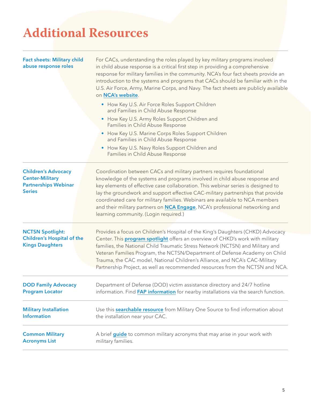# **Additional Resources**

#### Fact sheets: Military child abuse response roles

For CACs, understanding the roles played by key military programs involved in child abuse response is a critical first step in providing a comprehensive response for military families in the community. NCA's four fact sheets provide an introduction to the systems and programs that CACs should be familiar with in the U.S. Air Force, Army, Marine Corps, and Navy. The fact sheets are publicly available on [NCA's website](https://www.nationalchildrensalliance.org/support-for-military-families/).

- How Key U.S. Air Force Roles Support Children and Families in Child Abuse Response
- How Key U.S. Army Roles Support Children and Families in Child Abuse Response
- How Key U.S. Marine Corps Roles Support Children and Families in Child Abuse Response
- How Key U.S. Navy Roles Support Children and Families in Child Abuse Response

| <b>Children's Advocacy</b><br><b>Center-Military</b><br><b>Partnerships Webinar</b><br><b>Series</b> | Coordination between CACs and military partners requires foundational<br>knowledge of the systems and programs involved in child abuse response and<br>key elements of effective case collaboration. This webinar series is designed to<br>lay the groundwork and support effective CAC-military partnerships that provide<br>coordinated care for military families. Webinars are available to NCA members<br>and their military partners on NCA Engage, NCA's professional networking and<br>learning community. (Login required.) |
|------------------------------------------------------------------------------------------------------|--------------------------------------------------------------------------------------------------------------------------------------------------------------------------------------------------------------------------------------------------------------------------------------------------------------------------------------------------------------------------------------------------------------------------------------------------------------------------------------------------------------------------------------|
| <b>NCTSN Spotlight:</b><br><b>Children's Hospital of the</b><br><b>Kings Daughters</b>               | Provides a focus on Children's Hospital of the King's Daughters (CHKD) Advocacy<br>Center. This <b>program spotlight</b> offers an overview of CHKD's work with military<br>families, the National Child Traumatic Stress Network (NCTSN) and Military and<br>Veteran Families Program, the NCTSN/Department of Defense Academy on Child<br>Trauma, the CAC model, National Children's Alliance, and NCA's CAC-Military<br>Partnership Project, as well as recommended resources from the NCTSN and NCA.                             |
| <b>DOD Family Advocacy</b>                                                                           | Department of Defense (DOD) victim assistance directory and 24/7 hotline                                                                                                                                                                                                                                                                                                                                                                                                                                                             |
| <b>Program Locator</b>                                                                               | information. Find FAP information for nearby installations via the search function.                                                                                                                                                                                                                                                                                                                                                                                                                                                  |
| <b>Military Installation</b>                                                                         | Use this <b>searchable resource</b> from Military One Source to find information about                                                                                                                                                                                                                                                                                                                                                                                                                                               |
| <b>Information</b>                                                                                   | the installation near your CAC.                                                                                                                                                                                                                                                                                                                                                                                                                                                                                                      |
| <b>Common Military</b>                                                                               | A brief guide to common military acronyms that may arise in your work with                                                                                                                                                                                                                                                                                                                                                                                                                                                           |
| <b>Acronyms List</b>                                                                                 | military families.                                                                                                                                                                                                                                                                                                                                                                                                                                                                                                                   |